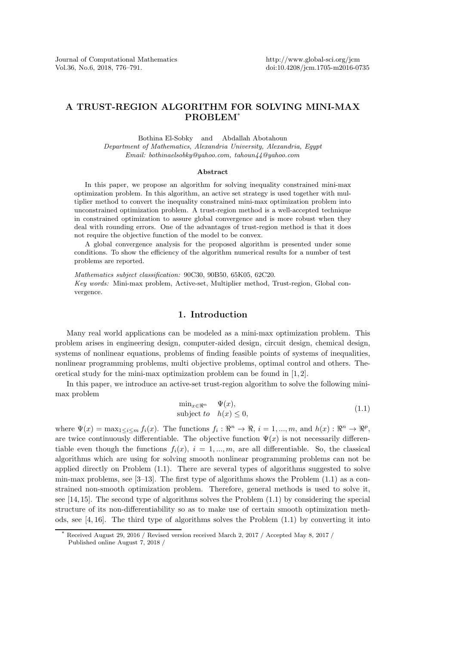# A TRUST-REGION ALGORITHM FOR SOLVING MINI-MAX PROBLEM\*

Bothina El-Sobky and Abdallah Abotahoun *Department of Mathematics, Alexandria University, Alexandria, Egypt Email: bothinaelsobky@yahoo.com, tahoun44@yahoo.com*

#### Abstract

In this paper, we propose an algorithm for solving inequality constrained mini-max optimization problem. In this algorithm, an active set strategy is used together with multiplier method to convert the inequality constrained mini-max optimization problem into unconstrained optimization problem. A trust-region method is a well-accepted technique in constrained optimization to assure global convergence and is more robust when they deal with rounding errors. One of the advantages of trust-region method is that it does not require the objective function of the model to be convex.

A global convergence analysis for the proposed algorithm is presented under some conditions. To show the efficiency of the algorithm numerical results for a number of test problems are reported.

*Mathematics subject classification:* 90C30, 90B50, 65K05, 62C20. *Key words:* Mini-max problem, Active-set, Multiplier method, Trust-region, Global convergence.

## 1. Introduction

Many real world applications can be modeled as a mini-max optimization problem. This problem arises in engineering design, computer-aided design, circuit design, chemical design, systems of nonlinear equations, problems of finding feasible points of systems of inequalities, nonlinear programming problems, multi objective problems, optimal control and others. Theoretical study for the mini-max optimization problem can be found in [1, 2].

In this paper, we introduce an active-set trust-region algorithm to solve the following minimax problem

$$
\min_{x \in \mathbb{R}^n} \quad \Psi(x),
$$
\n
$$
\text{subject to} \quad h(x) \le 0,
$$
\n
$$
(1.1)
$$

where  $\Psi(x) = \max_{1 \leq i \leq m} f_i(x)$ . The functions  $f_i : \mathbb{R}^n \to \mathbb{R}$ ,  $i = 1, ..., m$ , and  $h(x) : \mathbb{R}^n \to \mathbb{R}^p$ , are twice continuously differentiable. The objective function  $\Psi(x)$  is not necessarily differentiable even though the functions  $f_i(x)$ ,  $i = 1, ..., m$ , are all differentiable. So, the classical algorithms which are using for solving smooth nonlinear programming problems can not be applied directly on Problem (1.1). There are several types of algorithms suggested to solve min-max problems, see  $[3-13]$ . The first type of algorithms shows the Problem  $(1.1)$  as a constrained non-smooth optimization problem. Therefore, general methods is used to solve it, see [14, 15]. The second type of algorithms solves the Problem (1.1) by considering the special structure of its non-differentiability so as to make use of certain smooth optimization methods, see  $[4, 16]$ . The third type of algorithms solves the Problem  $(1.1)$  by converting it into

 $\overline{{\rm Received}}$  August 29, 2016 / Revised version received March 2, 2017 / Accepted May 8, 2017 / Published online August 7, 2018 /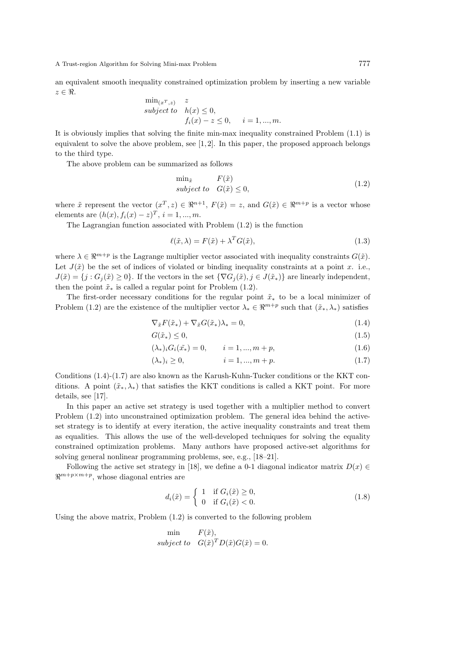an equivalent smooth inequality constrained optimization problem by inserting a new variable  $z \in \Re$ .

$$
\begin{array}{ll}\n\min_{(x^T, z)} & z\\ \nsubject\ to & h(x) \le 0, \\ \nf_i(x) - z \le 0, \quad i = 1, \dots, m.\n\end{array}
$$

It is obviously implies that solving the finite min-max inequality constrained Problem (1.1) is equivalent to solve the above problem, see  $[1, 2]$ . In this paper, the proposed approach belongs to the third type.

The above problem can be summarized as follows

$$
\min_{\tilde{x}} \qquad F(\tilde{x})subject to \quad G(\tilde{x}) \le 0,
$$
\n(1.2)

where  $\tilde{x}$  represent the vector  $(x^T, z) \in \mathbb{R}^{n+1}$ ,  $F(\tilde{x}) = z$ , and  $G(\tilde{x}) \in \mathbb{R}^{m+p}$  is a vector whose elements are  $(h(x), f_i(x) - z)^T$ ,  $i = 1, ..., m$ .

The Lagrangian function associated with Problem (1.2) is the function

$$
\ell(\tilde{x}, \lambda) = F(\tilde{x}) + \lambda^T G(\tilde{x}), \qquad (1.3)
$$

where  $\lambda \in \mathbb{R}^{m+p}$  is the Lagrange multiplier vector associated with inequality constraints  $G(\tilde{x})$ . Let  $J(\tilde{x})$  be the set of indices of violated or binding inequality constraints at a point x. i.e.,  $J(\tilde{x}) = \{j : G_j(\tilde{x}) \geq 0\}$ . If the vectors in the set  $\{\nabla G_j(\tilde{x}), j \in J(\tilde{x}_*)\}$  are linearly independent, then the point  $\tilde{x}_*$  is called a regular point for Problem (1.2).

The first-order necessary conditions for the regular point  $\tilde{x}_*$  to be a local minimizer of Problem (1.2) are the existence of the multiplier vector  $\lambda_* \in \mathbb{R}^{m+p}$  such that  $(\tilde{x}_*, \lambda_*)$  satisfies

$$
\nabla_{\tilde{x}} F(\tilde{x}_*) + \nabla_{\tilde{x}} G(\tilde{x}_*) \lambda_* = 0, \qquad (1.4)
$$

$$
G(\tilde{x}_*) \le 0,\tag{1.5}
$$

$$
(\lambda_*)_i G_i(x_*) = 0, \qquad i = 1, ..., m + p,
$$
\n(1.6)

$$
(\lambda_*)_i \ge 0, \qquad i = 1, ..., m + p. \tag{1.7}
$$

Conditions (1.4)-(1.7) are also known as the Karush-Kuhn-Tucker conditions or the KKT conditions. A point  $(\tilde{x}_*, \lambda_*)$  that satisfies the KKT conditions is called a KKT point. For more details, see [17].

In this paper an active set strategy is used together with a multiplier method to convert Problem (1.2) into unconstrained optimization problem. The general idea behind the activeset strategy is to identify at every iteration, the active inequality constraints and treat them as equalities. This allows the use of the well-developed techniques for solving the equality constrained optimization problems. Many authors have proposed active-set algorithms for solving general nonlinear programming problems, see, e.g., [18–21].

Following the active set strategy in [18], we define a 0-1 diagonal indicator matrix  $D(x) \in$  $\Re^{m+p\times m+p}$ , whose diagonal entries are

$$
d_i(\tilde{x}) = \begin{cases} 1 & \text{if } G_i(\tilde{x}) \ge 0, \\ 0 & \text{if } G_i(\tilde{x}) < 0. \end{cases}
$$
 (1.8)

Using the above matrix, Problem (1.2) is converted to the following problem

$$
\begin{aligned}\n\min \qquad & F(\tilde{x}), \\
\text{subject to} \quad & G(\tilde{x})^T D(\tilde{x}) G(\tilde{x}) = 0.\n\end{aligned}
$$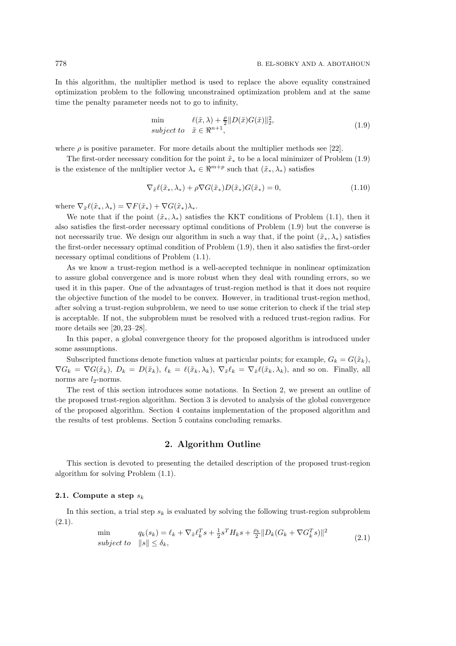In this algorithm, the multiplier method is used to replace the above equality constrained optimization problem to the following unconstrained optimization problem and at the same time the penalty parameter needs not to go to infinity,

$$
\min \qquad \ell(\tilde{x}, \lambda) + \frac{\rho}{2} \|D(\tilde{x})G(\tilde{x})\|_2^2, subject to \quad \tilde{x} \in \mathbb{R}^{n+1},
$$
\n(1.9)

where  $\rho$  is positive parameter. For more details about the multiplier methods see [22].

The first-order necessary condition for the point  $\tilde{x}_*$  to be a local minimizer of Problem (1.9) is the existence of the multiplier vector  $\lambda_* \in \mathbb{R}^{m+p}$  such that  $(\tilde{x}_*, \lambda_*)$  satisfies

$$
\nabla_{\tilde{x}} \ell(\tilde{x}_*, \lambda_*) + \rho \nabla G(\tilde{x}_*) D(\tilde{x}_*) G(\tilde{x}_*) = 0,
$$
\n(1.10)

where  $\nabla_{\tilde{x}} \ell(\tilde{x}_*, \lambda_*) = \nabla F(\tilde{x}_*) + \nabla G(\tilde{x}_*) \lambda_*$ .

We note that if the point  $(\tilde{x}_*, \lambda_*)$  satisfies the KKT conditions of Problem (1.1), then it also satisfies the first-order necessary optimal conditions of Problem (1.9) but the converse is not necessarily true. We design our algorithm in such a way that, if the point  $(\tilde{x}_*, \lambda_*)$  satisfies the first-order necessary optimal condition of Problem (1.9), then it also satisfies the first-order necessary optimal conditions of Problem (1.1).

As we know a trust-region method is a well-accepted technique in nonlinear optimization to assure global convergence and is more robust when they deal with rounding errors, so we used it in this paper. One of the advantages of trust-region method is that it does not require the objective function of the model to be convex. However, in traditional trust-region method, after solving a trust-region subproblem, we need to use some criterion to check if the trial step is acceptable. If not, the subproblem must be resolved with a reduced trust-region radius. For more details see [20, 23–28].

In this paper, a global convergence theory for the proposed algorithm is introduced under some assumptions.

Subscripted functions denote function values at particular points; for example,  $G_k = G(\tilde{x}_k)$ ,  $\nabla G_k = \nabla G(\tilde{x}_k)$ ,  $D_k = D(\tilde{x}_k)$ ,  $\ell_k = \ell(\tilde{x}_k, \lambda_k)$ ,  $\nabla_{\tilde{x}} \ell_k = \nabla_{\tilde{x}} \ell(\tilde{x}_k, \lambda_k)$ , and so on. Finally, all norms are  $l_2$ -norms.

The rest of this section introduces some notations. In Section 2, we present an outline of the proposed trust-region algorithm. Section 3 is devoted to analysis of the global convergence of the proposed algorithm. Section 4 contains implementation of the proposed algorithm and the results of test problems. Section 5 contains concluding remarks.

## 2. Algorithm Outline

This section is devoted to presenting the detailed description of the proposed trust-region algorithm for solving Problem (1.1).

### 2.1. Compute a step  $s_k$

In this section, a trial step  $s_k$  is evaluated by solving the following trust-region subproblem  $(2.1).$ 

$$
\min_{\text{subject to}} \quad q_k(s_k) = \ell_k + \nabla_{\tilde{x}} \ell_k^T s + \frac{1}{2} s^T H_k s + \frac{\rho_k}{2} ||D_k(G_k + \nabla G_k^T s)||^2 \text{(2.1)}
$$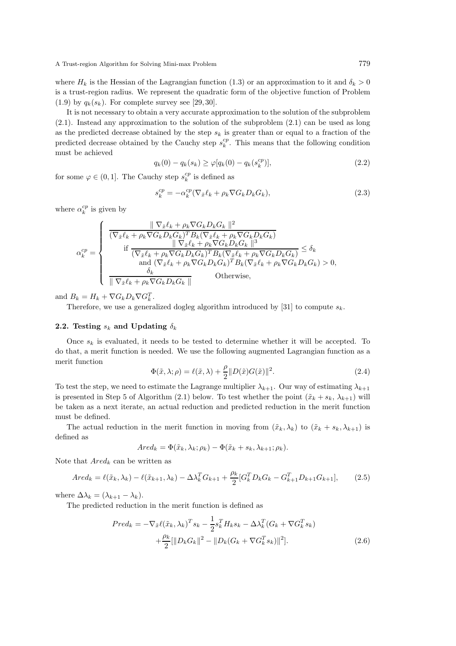where  $H_k$  is the Hessian of the Lagrangian function (1.3) or an approximation to it and  $\delta_k > 0$ is a trust-region radius. We represent the quadratic form of the objective function of Problem  $(1.9)$  by  $q_k(s_k)$ . For complete survey see [29, 30].

It is not necessary to obtain a very accurate approximation to the solution of the subproblem (2.1). Instead any approximation to the solution of the subproblem (2.1) can be used as long as the predicted decrease obtained by the step  $s_k$  is greater than or equal to a fraction of the predicted decrease obtained by the Cauchy step  $s_k^{cp}$ . This means that the following condition must be achieved

$$
q_k(0) - q_k(s_k) \ge \varphi[q_k(0) - q_k(s_k^{cp})],
$$
\n(2.2)

for some  $\varphi \in (0, 1]$ . The Cauchy step  $s_k^{cp}$  is defined as

$$
s_k^{cp} = -\alpha_k^{cp} (\nabla_{\tilde{x}} \ell_k + \rho_k \nabla G_k D_k G_k), \qquad (2.3)
$$

where  $\alpha_k^{cp}$  is given by

$$
\alpha_k^{cp} = \begin{cases}\n\frac{\|\nabla_{\tilde{x}} \ell_k + \rho_k \nabla G_k D_k G_k\|^2}{(\nabla_{\tilde{x}} \ell_k + \rho_k \nabla G_k D_k G_k)^T B_k (\nabla_{\tilde{x}} \ell_k + \rho_k \nabla G_k D_k G_k)} \\
\text{if } \frac{\|\nabla_{\tilde{x}} \ell_k + \rho_k \nabla G_k D_k G_k\|^3}{(\nabla_{\tilde{x}} \ell_k + \rho_k \nabla G_k D_k G_k)^T B_k (\nabla_{\tilde{x}} \ell_k + \rho_k \nabla G_k D_k G_k)} \leq \delta_k \\
\text{and } (\nabla_{\tilde{x}} \ell_k + \rho_k \nabla G_k D_k G_k)^T B_k (\nabla_{\tilde{x}} \ell_k + \rho_k \nabla G_k D_k G_k) > 0, \\
\frac{\delta_k}{\|\nabla_{\tilde{x}} \ell_k + \rho_k \nabla G_k D_k G_k\|} & \text{Otherwise,} \\
\end{cases}
$$

and  $B_k = H_k + \nabla G_k D_k \nabla G_k^T$ .

Therefore, we use a generalized dogleg algorithm introduced by [31] to compute  $s_k$ .

## 2.2. Testing  $s_k$  and Updating  $\delta_k$

Once  $s_k$  is evaluated, it needs to be tested to determine whether it will be accepted. To do that, a merit function is needed. We use the following augmented Lagrangian function as a merit function

$$
\Phi(\tilde{x}, \lambda; \rho) = \ell(\tilde{x}, \lambda) + \frac{\rho}{2} \|D(\tilde{x})G(\tilde{x})\|^2.
$$
\n(2.4)

To test the step, we need to estimate the Lagrange multiplier  $\lambda_{k+1}$ . Our way of estimating  $\lambda_{k+1}$ is presented in Step 5 of Algorithm (2.1) below. To test whether the point  $(\tilde{x}_k + s_k, \lambda_{k+1})$  will be taken as a next iterate, an actual reduction and predicted reduction in the merit function must be defined.

The actual reduction in the merit function in moving from  $(\tilde{x}_k, \lambda_k)$  to  $(\tilde{x}_k + s_k, \lambda_{k+1})$  is defined as

$$
Ared_k = \Phi(\tilde{x}_k, \lambda_k; \rho_k) - \Phi(\tilde{x}_k + s_k, \lambda_{k+1}; \rho_k).
$$

Note that  $Ared_k$  can be written as

$$
Ared_k = \ell(\tilde{x}_k, \lambda_k) - \ell(\tilde{x}_{k+1}, \lambda_k) - \Delta \lambda_k^T G_{k+1} + \frac{\rho_k}{2} [G_k^T D_k G_k - G_{k+1}^T D_{k+1} G_{k+1}], \tag{2.5}
$$

where  $\Delta \lambda_k = (\lambda_{k+1} - \lambda_k)$ .

The predicted reduction in the merit function is defined as

$$
Pred_k = -\nabla_{\tilde{x}} \ell(\tilde{x}_k, \lambda_k)^T s_k - \frac{1}{2} s_k^T H_k s_k - \Delta \lambda_k^T (G_k + \nabla G_k^T s_k) + \frac{\rho_k}{2} [\|D_k G_k\|^2 - \|D_k (G_k + \nabla G_k^T s_k)\|^2].
$$
\n(2.6)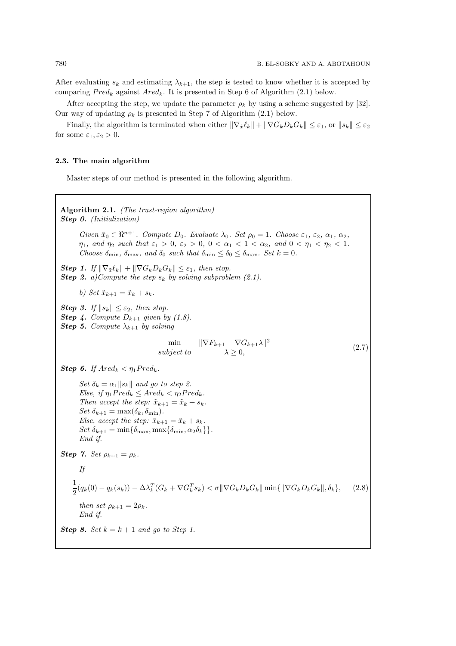After evaluating  $s_k$  and estimating  $\lambda_{k+1}$ , the step is tested to know whether it is accepted by comparing  $Pred_k$  against  $Ared_k$ . It is presented in Step 6 of Algorithm (2.1) below.

After accepting the step, we update the parameter  $\rho_k$  by using a scheme suggested by [32]. Our way of updating  $\rho_k$  is presented in Step 7 of Algorithm (2.1) below.

Finally, the algorithm is terminated when either  $\|\nabla_{\tilde{x}}\ell_k\| + \|\nabla G_kD_kG_k\| \leq \varepsilon_1$ , or  $\|s_k\| \leq \varepsilon_2$ for some  $\varepsilon_1, \varepsilon_2 > 0$ .

#### 2.3. The main algorithm

Master steps of our method is presented in the following algorithm.

Algorithm 2.1. *(The trust-region algorithm)* Step 0. *(Initialization) Given*  $\tilde{x}_0 \in \mathbb{R}^{n+1}$ *. Compute*  $D_0$ *. Evaluate*  $\lambda_0$ *. Set*  $\rho_0 = 1$ *. Choose*  $\varepsilon_1$ *,*  $\varepsilon_2$ *,*  $\alpha_1$ *,*  $\alpha_2$ *,*  $\eta_1$ *, and*  $\eta_2$  *such that*  $\varepsilon_1 > 0$ *,*  $\varepsilon_2 > 0$ *,*  $0 < \alpha_1 < 1 < \alpha_2$ *, and*  $0 < \eta_1 < \eta_2 < 1$ *. Choose*  $\delta_{\min}$ ,  $\delta_{\max}$ , and  $\delta_0$  *such that*  $\delta_{\min} \leq \delta_0 \leq \delta_{\max}$ . Set  $k = 0$ . **Step 1.** If  $\|\nabla_{\tilde{x}} \ell_k\| + \|\nabla G_k D_k G_k\| \leq \varepsilon_1$ , then stop. **Step 2.** *a*)Compute the step  $s_k$  by solving subproblem (2.1). *b) Set*  $\tilde{x}_{k+1} = \tilde{x}_k + s_k$ . **Step 3.** If  $||s_k|| \leq \varepsilon_2$ , then stop. **Step 4.** Compute  $D_{k+1}$  given by (1.8). **Step 5.** Compute  $\lambda_{k+1}$  by solving min  $\|\nabla F_{k+1} + \nabla G_{k+1}\lambda\|^2$ subject to  $\lambda \geq 0$ , (2.7) **Step 6.** If  $\text{Ared}_k < \eta_1 \text{Pred}_k$ . *Set*  $\delta_k = \alpha_1 ||s_k||$  *and go to step 2. Else, if*  $\eta_1 Pred_k \leq Ared_k < \eta_2 Pred_k$ . *Then accept the step:*  $\tilde{x}_{k+1} = \tilde{x}_k + s_k$ . *Set*  $\delta_{k+1} = \max(\delta_k, \delta_{\min}).$ *Else, accept the step:*  $\tilde{x}_{k+1} = \tilde{x}_k + s_k$ . *Set*  $\delta_{k+1} = \min\{\delta_{\max}, \max\{\delta_{\min}, \alpha_2 \delta_k\}\}.$ *End if. Step 7. <i>Set*  $\rho_{k+1} = \rho_k$ *. If* 1  $\frac{1}{2}(q_k(0) - q_k(s_k)) - \Delta \lambda_k^T (G_k + \nabla G_k^T s_k) < \sigma \|\nabla G_k D_k G_k\| \min\{\|\nabla G_k D_k G_k\|, \delta_k\},$  (2.8) *then set*  $\rho_{k+1} = 2\rho_k$ *. End if.* **Step 8.** *Set*  $k = k + 1$  *and go to Step 1.*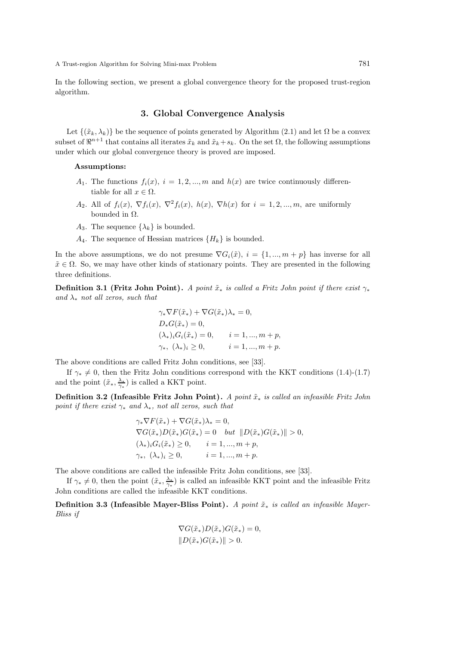In the following section, we present a global convergence theory for the proposed trust-region algorithm.

## 3. Global Convergence Analysis

Let  $\{(\tilde{x}_k, \lambda_k)\}\$  be the sequence of points generated by Algorithm (2.1) and let  $\Omega$  be a convex subset of  $\mathbb{R}^{n+1}$  that contains all iterates  $\tilde{x}_k$  and  $\tilde{x}_k+s_k$ . On the set  $\Omega$ , the following assumptions under which our global convergence theory is proved are imposed.

#### Assumptions:

- $A_1$ . The functions  $f_i(x)$ ,  $i = 1, 2, ..., m$  and  $h(x)$  are twice continuously differentiable for all  $x \in \Omega$ .
- A<sub>2</sub>. All of  $f_i(x)$ ,  $\nabla f_i(x)$ ,  $\nabla^2 f_i(x)$ ,  $h(x)$ ,  $\nabla h(x)$  for  $i = 1, 2, ..., m$ , are uniformly bounded in  $\Omega$ .
- $A_3$ . The sequence  $\{\lambda_k\}$  is bounded.
- $A_4$ . The sequence of Hessian matrices  $\{H_k\}$  is bounded.

In the above assumptions, we do not presume  $\nabla G_i(\tilde{x}), i = \{1, ..., m + p\}$  has inverse for all  $\tilde{x} \in \Omega$ . So, we may have other kinds of stationary points. They are presented in the following three definitions.

**Definition 3.1 (Fritz John Point).** *A point*  $\tilde{x}_*$  *is called a Fritz John point if there exist*  $\gamma_*$ *and* λ<sup>∗</sup> *not all zeros, such that*

$$
\gamma_* \nabla F(\tilde{x}_*) + \nabla G(\tilde{x}_*) \lambda_* = 0,
$$
  
\n
$$
D_* G(\tilde{x}_*) = 0,
$$
  
\n
$$
(\lambda_*)_i G_i(\tilde{x}_*) = 0, \qquad i = 1, ..., m + p,
$$
  
\n
$$
\gamma_*, \ (\lambda_*)_i \ge 0, \qquad i = 1, ..., m + p.
$$

The above conditions are called Fritz John conditions, see [33].

If  $\gamma_* \neq 0$ , then the Fritz John conditions correspond with the KKT conditions (1.4)-(1.7) and the point  $(\tilde{x}_{*}, \frac{\lambda_{*}}{\gamma_{*}})$  is called a KKT point.

Definition 3.2 (Infeasible Fritz John Point). *A point*  $\tilde{x}_∗$  *is called an infeasible Fritz John point if there exist* γ<sup>∗</sup> *and* λ∗*, not all zeros, such that*

$$
\gamma_* \nabla F(\tilde{x}_*) + \nabla G(\tilde{x}_*) \lambda_* = 0,
$$
  
\n
$$
\nabla G(\tilde{x}_*) D(\tilde{x}_*) G(\tilde{x}_*) = 0 \quad but \quad ||D(\tilde{x}_*) G(\tilde{x}_*)|| > 0,
$$
  
\n
$$
(\lambda_*)_i G_i(\tilde{x}_*) \ge 0, \qquad i = 1, ..., m + p,
$$
  
\n
$$
\gamma_*, \quad (\lambda_*)_i \ge 0, \qquad i = 1, ..., m + p.
$$

The above conditions are called the infeasible Fritz John conditions, see [33].

If  $\gamma_* \neq 0$ , then the point  $(\tilde{x}_*, \frac{\lambda_*}{\gamma_*})$  is called an infeasible KKT point and the infeasible Fritz John conditions are called the infeasible KKT conditions.

Definition 3.3 (Infeasible Mayer-Bliss Point). *A point*  $\tilde{x}_∗$  *is called an infeasible Mayer-Bliss if*

$$
\nabla G(\tilde{x}_*) D(\tilde{x}_*) G(\tilde{x}_*) = 0,
$$
  

$$
||D(\tilde{x}_*) G(\tilde{x}_*)|| > 0.
$$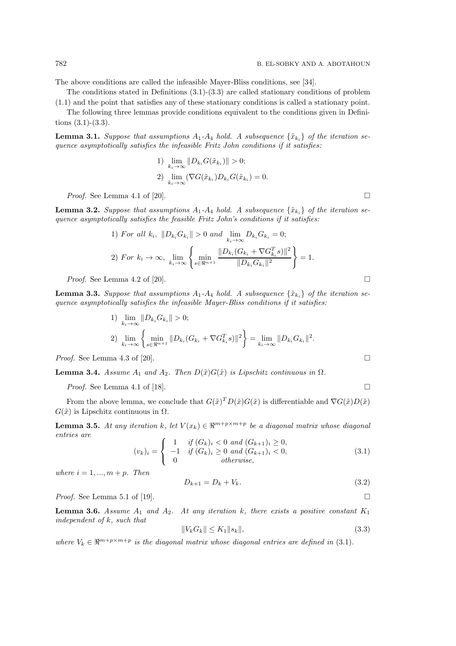The above conditions are called the infeasible Mayer-Bliss conditions, see [34].

The conditions stated in Definitions  $(3.1)-(3.3)$  are called stationary conditions of problem

(1.1) and the point that satisfies any of these stationary conditions is called a stationary point. The following three lemmas provide conditions equivalent to the conditions given in Definitions (3.1)-(3.3).

**Lemma 3.1.** Suppose that assumptions  $A_1$ - $A_4$  hold. A subsequence  $\{\tilde{x}_{k_i}\}\$  of the iteration se*quence asymptotically satisfies the infeasible Fritz John conditions if it satisfies:*

1) 
$$
\lim_{k_i \to \infty} ||D_{k_i} G(\tilde{x}_{k_i})|| > 0;
$$
  
2) 
$$
\lim_{k_i \to \infty} (\nabla G(\tilde{x}_{k_i}) D_{k_i} G(\tilde{x}_{k_i}) = 0.
$$

*Proof.* See Lemma 4.1 of [20].

**Lemma 3.2.** Suppose that assumptions  $A_1$ - $A_4$  hold. A subsequence  $\{\tilde{x}_k\}$  of the iteration se*quence asymptotically satisfies the feasible Fritz John's conditions if it satisfies:*

1) For all 
$$
k_i
$$
,  $||D_{k_i}G_{k_i}|| > 0$  and  $\lim_{k_i \to \infty} D_{k_i}G_{k_i} = 0$ ;  
\n2) For  $k_i \to \infty$ ,  $\lim_{k_i \to \infty} \left\{ \min_{s \in \mathbb{R}^{n+1}} \frac{||D_{k_i}(G_{k_i} + \nabla G_{k_i}^T s)||^2}{||D_{k_i}G_{k_i}||^2} \right\} = 1$ .

*Proof.* See Lemma 4.2 of [20].

**Lemma 3.3.** Suppose that assumptions  $A_1$ - $A_4$  hold. A subsequence  $\{\tilde{x}_k\}$  of the iteration se*quence asymptotically satisfies the infeasible Mayer-Bliss conditions if it satisfies:*

1) 
$$
\lim_{k_i \to \infty} ||D_{k_i} G_{k_i}|| > 0;
$$
  
\n2)  $\lim_{k_i \to \infty} \left\{ \min_{s \in \mathbb{R}^{n+1}} ||D_{k_i} (G_{k_i} + \nabla G_{k_i}^T s)||^2 \right\} = \lim_{k_i \to \infty} ||D_{k_i} G_{k_i}||^2.$   
\n*Proof.* See Lemma 4.3 of [20].

**Lemma 3.4.** *Assume*  $A_1$  *and*  $A_2$ *. Then*  $D(\tilde{x})G(\tilde{x})$  *is Lipschitz continuous in*  $\Omega$ *.* 

*Proof.* See Lemma 4.1 of [18].

From the above lemma, we conclude that  $G(\tilde{x})^T D(\tilde{x}) G(\tilde{x})$  is differentiable and  $\nabla G(\tilde{x}) D(\tilde{x})$  $G(\tilde{x})$  is Lipschitz continuous in  $\Omega$ .

**Lemma 3.5.** At any iteration k, let  $V(x_k) \in \mathbb{R}^{m+p \times m+p}$  be a diagonal matrix whose diagonal *entries are*

$$
(v_k)_i = \begin{cases} 1 & \text{if } (G_k)_i < 0 \text{ and } (G_{k+1})_i \ge 0, \\ -1 & \text{if } (G_k)_i \ge 0 \text{ and } (G_{k+1})_i < 0, \\ 0 & \text{otherwise,} \end{cases}
$$
(3.1)

*where*  $i = 1, ..., m + p$ *. Then* 

$$
D_{k+1} = D_k + V_k. \t\t(3.2)
$$

*Proof.* See Lemma 5.1 of [19].

**Lemma 3.6.** Assume  $A_1$  and  $A_2$ . At any iteration k, there exists a positive constant  $K_1$ *independent of* k*, such that*

$$
||V_k G_k|| \le K_1 ||s_k||,\tag{3.3}
$$

where  $V_k \in \mathbb{R}^{m+p \times m+p}$  is the diagonal matrix whose diagonal entries are defined in (3.1).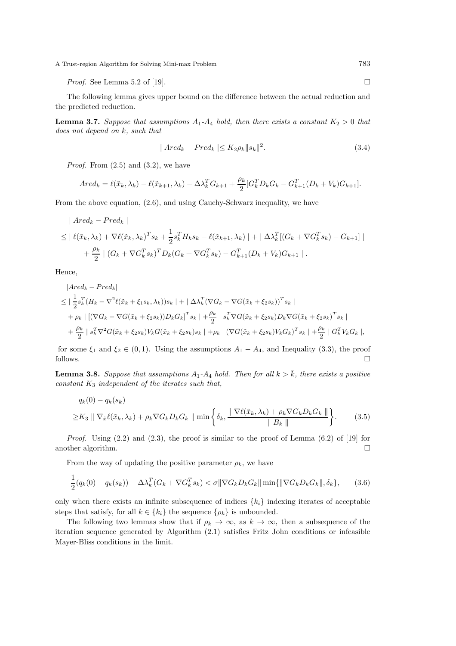A Trust-region Algorithm for Solving Mini-max Problem 783

*Proof.* See Lemma 5.2 of [19].

The following lemma gives upper bound on the difference between the actual reduction and the predicted reduction.

**Lemma 3.7.** Suppose that assumptions  $A_1$ - $A_4$  hold, then there exists a constant  $K_2 > 0$  that *does not depend on* k*, such that*

$$
|\text{Ared}_k - \text{Pred}_k| \le K_2 \rho_k \|s_k\|^2. \tag{3.4}
$$

*Proof.* From  $(2.5)$  and  $(3.2)$ , we have

$$
Ared_k = \ell(\tilde{x}_k, \lambda_k) - \ell(\tilde{x}_{k+1}, \lambda_k) - \Delta \lambda_k^T G_{k+1} + \frac{\rho_k}{2} [G_k^T D_k G_k - G_{k+1}^T (D_k + V_k) G_{k+1}].
$$

From the above equation, (2.6), and using Cauchy-Schwarz inequality, we have

$$
|\text{Ared}_k - \text{Pred}_k|
$$
  
\n
$$
\leq |\ell(\tilde{x}_k, \lambda_k) + \nabla \ell(\tilde{x}_k, \lambda_k)^T s_k + \frac{1}{2} s_k^T H_k s_k - \ell(\tilde{x}_{k+1}, \lambda_k) + |\Delta \lambda_k^T [ (G_k + \nabla G_k^T s_k) - G_{k+1} ] |
$$
  
\n
$$
+ \frac{\rho_k}{2} | (G_k + \nabla G_k^T s_k)^T D_k (G_k + \nabla G_k^T s_k) - G_{k+1}^T (D_k + V_k) G_{k+1} |.
$$

Hence,

1

$$
|Ared_k - Pred_k|
$$
  
\n
$$
\leq |\frac{1}{2}s_k^T (H_k - \nabla^2 \ell(\tilde{x}_k + \xi_1 s_k, \lambda_k))s_k| + |\Delta \lambda_k^T (\nabla G_k - \nabla G(\tilde{x}_k + \xi_2 s_k))^T s_k|
$$
  
\n
$$
+ \rho_k | [(\nabla G_k - \nabla G(\tilde{x}_k + \xi_2 s_k))D_k G_k]^T s_k| + \frac{\rho_k}{2} | s_k^T \nabla G(\tilde{x}_k + \xi_2 s_k)D_k \nabla G(\tilde{x}_k + \xi_2 s_k)^T s_k|
$$
  
\n
$$
+ \frac{\rho_k}{2} | s_k^T \nabla^2 G(\tilde{x}_k + \xi_2 s_k) V_k G(\tilde{x}_k + \xi_2 s_k) s_k | + \rho_k | (\nabla G(\tilde{x}_k + \xi_2 s_k) V_k G_k)^T s_k| + \frac{\rho_k}{2} | G_k^T V_k G_k |,
$$

for some  $\xi_1$  and  $\xi_2 \in (0,1)$ . Using the assumptions  $A_1 - A_4$ , and Inequality (3.3), the proof follows.  $\Box$ 

**Lemma 3.8.** Suppose that assumptions  $A_1$ - $A_4$  hold. Then for all  $k > \overline{k}$ , there exists a positive *constant* K<sup>3</sup> *independent of the iterates such that,*

$$
q_k(0) - q_k(s_k)
$$
  
\n
$$
\geq K_3 \|\nabla_{\tilde{x}} \ell(\tilde{x}_k, \lambda_k) + \rho_k \nabla G_k D_k G_k \|\min\left\{\delta_k, \frac{\|\nabla \ell(\tilde{x}_k, \lambda_k) + \rho_k \nabla G_k D_k G_k\|}{\|B_k\|}\right\}.
$$
 (3.5)

*Proof.* Using (2.2) and (2.3), the proof is similar to the proof of Lemma (6.2) of [19] for another algorithm.  $\hfill \square$ 

From the way of updating the positive parameter  $\rho_k$ , we have

$$
\frac{1}{2}(q_k(0) - q_k(s_k)) - \Delta \lambda_k^T (G_k + \nabla G_k^T s_k) < \sigma \|\nabla G_k D_k G_k\| \min\{\|\nabla G_k D_k G_k\|, \delta_k\},\tag{3.6}
$$

only when there exists an infinite subsequence of indices  $\{k_i\}$  indexing iterates of acceptable steps that satisfy, for all  $k \in \{k_i\}$  the sequence  $\{\rho_k\}$  is unbounded.

The following two lemmas show that if  $\rho_k \to \infty$ , as  $k \to \infty$ , then a subsequence of the iteration sequence generated by Algorithm (2.1) satisfies Fritz John conditions or infeasible Mayer-Bliss conditions in the limit.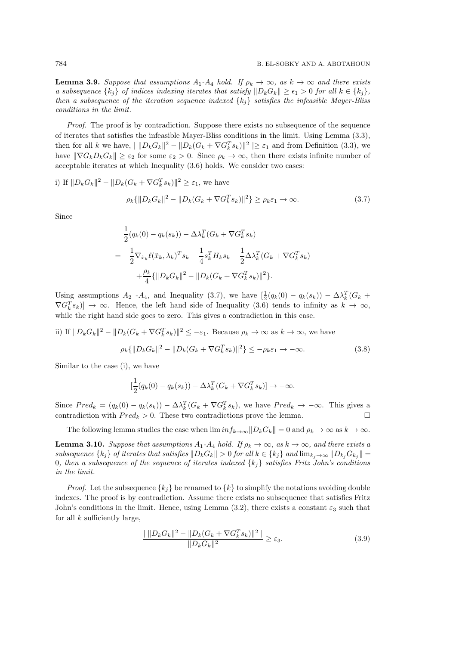**Lemma 3.9.** Suppose that assumptions  $A_1$ - $A_4$  hold. If  $\rho_k \to \infty$ , as  $k \to \infty$  and there exists *a subsequence*  $\{k_i\}$  *of indices indexing iterates that satisfy*  $\|D_kG_k\| \geq \epsilon_1 > 0$  *for all*  $k \in \{k_i\}$ *, then a subsequence of the iteration sequence indexed* {kj} *satisfies the infeasible Mayer-Bliss conditions in the limit.*

*Proof.* The proof is by contradiction. Suppose there exists no subsequence of the sequence of iterates that satisfies the infeasible Mayer-Bliss conditions in the limit. Using Lemma (3.3), then for all k we have,  $||D_k G_k||^2 - ||D_k(G_k + \nabla G_k^T s_k)||^2 \geq \varepsilon_1$  and from Definition (3.3), we have  $\|\nabla G_kD_kG_k\| \geq \varepsilon_2$  for some  $\varepsilon_2 > 0$ . Since  $\rho_k \to \infty$ , then there exists infinite number of acceptable iterates at which Inequality (3.6) holds. We consider two cases:

i) If  $||D_k G_k||^2 - ||D_k(G_k + \nabla G_k^T s_k)||^2 \geq \varepsilon_1$ , we have

$$
\rho_k \{ \| D_k G_k \|^2 - \| D_k (G_k + \nabla G_k^T s_k) \|^2 \} \ge \rho_k \varepsilon_1 \to \infty. \tag{3.7}
$$

Since

$$
\frac{1}{2}(q_k(0) - q_k(s_k)) - \Delta \lambda_k^T (G_k + \nabla G_k^T s_k)
$$
\n
$$
= -\frac{1}{2} \nabla_{\tilde{x}_k} \ell(\tilde{x}_k, \lambda_k)^T s_k - \frac{1}{4} s_k^T H_k s_k - \frac{1}{2} \Delta \lambda_k^T (G_k + \nabla G_k^T s_k)
$$
\n
$$
+ \frac{\rho_k}{4} {\| D_k G_k \|^2 - \| D_k (G_k + \nabla G_k^T s_k) \|^2 }.
$$

Using assumptions  $A_2$  - $A_4$ , and Inequality (3.7), we have  $\left[\frac{1}{2}(q_k(0) - q_k(s_k)) - \Delta \lambda_k^T(G_k +$  $\nabla G_k^T s_k$ ]  $\rightarrow \infty$ . Hence, the left hand side of Inequality (3.6) tends to infinity as  $k \rightarrow \infty$ , while the right hand side goes to zero. This gives a contradiction in this case.

ii) If  $||D_kG_k||^2 - ||D_k(G_k + \nabla G_k^T s_k)||^2 \leq -\varepsilon_1$ . Because  $\rho_k \to \infty$  as  $k \to \infty$ , we have

$$
\rho_k \{ \| D_k G_k \|^2 - \| D_k (G_k + \nabla G_k^T s_k) \|^2 \} \le -\rho_k \varepsilon_1 \to -\infty. \tag{3.8}
$$

Similar to the case (i), we have

$$
\left[\frac{1}{2}(q_k(0) - q_k(s_k)) - \Delta \lambda_k^T (G_k + \nabla G_k^T s_k)\right] \to -\infty.
$$

Since  $Pred_k = (q_k(0) - q_k(s_k)) - \Delta \lambda_k^T(G_k + \nabla G_k^T s_k)$ , we have  $Pred_k \to -\infty$ . This gives a contradiction with  $Pred_k > 0$ . These two contradictions prove the lemma.

The following lemma studies the case when  $\liminf_{k\to\infty}||D_kG_k|| = 0$  and  $\rho_k \to \infty$  as  $k \to \infty$ .

**Lemma 3.10.** *Suppose that assumptions*  $A_1$ - $A_4$  *hold.* If  $\rho_k \to \infty$ *, as*  $k \to \infty$ *, and there exists a subsequence*  $\{k_i\}$  *of iterates that satisfies*  $\|D_kG_k\| > 0$  *for all*  $k \in \{k_i\}$  *and*  $\lim_{k_i \to \infty} \|D_{k_i}G_{k_i}\| =$ 0*, then a subsequence of the sequence of iterates indexed* {kj} *satisfies Fritz John's conditions in the limit.*

*Proof.* Let the subsequence  $\{k_j\}$  be renamed to  $\{k\}$  to simplify the notations avoiding double indexes. The proof is by contradiction. Assume there exists no subsequence that satisfies Fritz John's conditions in the limit. Hence, using Lemma (3.2), there exists a constant  $\varepsilon_3$  such that for all  $k$  sufficiently large,

$$
\frac{|\|D_k G_k\|^2 - \|D_k (G_k + \nabla G_k^T s_k)\|^2|}{\|D_k G_k\|^2} \ge \varepsilon_3.
$$
\n(3.9)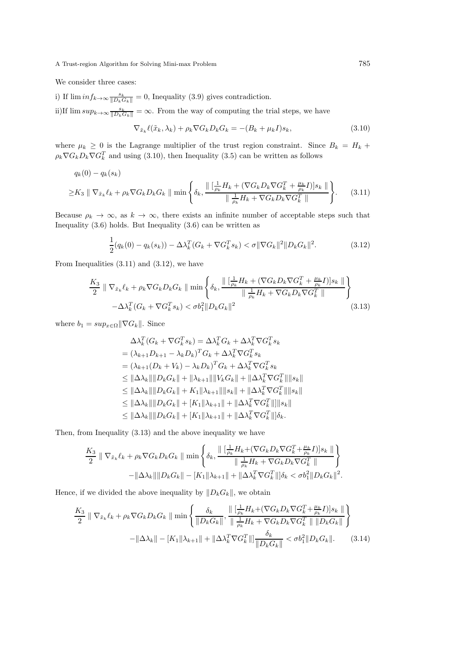### A Trust-region Algorithm for Solving Mini-max Problem 785

We consider three cases:

i) If  $\liminf_{k\to\infty} \frac{s_k}{\|D_k G_k\|} = 0$ , Inequality (3.9) gives contradiction. ii)If  $\limsup_{k\to\infty} \frac{s_k}{\|D_k G_k\|} = \infty$ . From the way of computing the trial steps, we have

$$
\nabla_{\tilde{x}_k} \ell(\tilde{x}_k, \lambda_k) + \rho_k \nabla G_k D_k G_k = -(B_k + \mu_k I)s_k, \tag{3.10}
$$

where  $\mu_k \geq 0$  is the Lagrange multiplier of the trust region constraint. Since  $B_k = H_k +$  $\rho_k \nabla G_k D_k \nabla G_k^T$  and using (3.10), then Inequality (3.5) can be written as follows

$$
q_k(0) - q_k(s_k)
$$
  
\n
$$
\geq K_3 \parallel \nabla_{\tilde{x}_k} \ell_k + \rho_k \nabla G_k D_k G_k \parallel \min \left\{ \delta_k, \frac{\parallel \left[ \frac{1}{\rho_k} H_k + (\nabla G_k D_k \nabla G_k^T + \frac{\mu_k}{\rho_k} I) \right] s_k \parallel}{\parallel \frac{1}{\rho_k} H_k + \nabla G_k D_k \nabla G_k^T \parallel} \right\}.
$$
 (3.11)

Because  $\rho_k \to \infty$ , as  $k \to \infty$ , there exists an infinite number of acceptable steps such that Inequality  $(3.6)$  holds. But Inequality  $(3.6)$  can be written as

$$
\frac{1}{2}(q_k(0) - q_k(s_k)) - \Delta \lambda_k^T (G_k + \nabla G_k^T s_k) < \sigma \| \nabla G_k \|^2 \| D_k G_k \|^2. \tag{3.12}
$$

From Inequalities  $(3.11)$  and  $(3.12)$ , we have

$$
\frac{K_3}{2} \parallel \nabla_{\tilde{x}_k} \ell_k + \rho_k \nabla G_k D_k G_k \parallel \min\left\{ \delta_k, \frac{\parallel \left[\frac{1}{\rho_k} H_k + (\nabla G_k D_k \nabla G_k^T + \frac{\mu_k}{\rho_k} I)\right] s_k \parallel}{\parallel \frac{1}{\rho_k} H_k + \nabla G_k D_k \nabla G_k^T \parallel} \right\}
$$
\n
$$
-\Delta \lambda_k^T (G_k + \nabla G_k^T s_k) < \sigma b_1^2 \parallel D_k G_k \parallel^2 \tag{3.13}
$$

where  $b_1 = \sup_{x \in \Omega} ||\nabla G_k||$ . Since

$$
\Delta \lambda_k^T (G_k + \nabla G_k^T s_k) = \Delta \lambda_k^T G_k + \Delta \lambda_k^T \nabla G_k^T s_k \n= (\lambda_{k+1} D_{k+1} - \lambda_k D_k)^T G_k + \Delta \lambda_k^T \nabla G_k^T s_k \n= (\lambda_{k+1} (D_k + V_k) - \lambda_k D_k)^T G_k + \Delta \lambda_k^T \nabla G_k^T s_k \n\leq ||\Delta \lambda_k|| ||D_k G_k|| + ||\lambda_{k+1}|| ||V_k G_k|| + ||\Delta \lambda_k^T \nabla G_k^T|| ||s_k|| \n\leq ||\Delta \lambda_k|| ||D_k G_k|| + K_1 ||\lambda_{k+1}|| ||s_k|| + ||\Delta \lambda_k^T \nabla G_k^T|| ||s_k|| \n\leq ||\Delta \lambda_k|| ||D_k G_k|| + [K_1 ||\lambda_{k+1}|| + ||\Delta \lambda_k^T \nabla G_k^T|| ||s_k|| \n\leq ||\Delta \lambda_k|| ||D_k G_k|| + [K_1 ||\lambda_{k+1}|| + ||\Delta \lambda_k^T \nabla G_k^T|| ]\delta_k.
$$

Then, from Inequality (3.13) and the above inequality we have

$$
\frac{K_3}{2} \parallel \nabla_{\tilde{x}_k} \ell_k + \rho_k \nabla G_k D_k G_k \parallel \min \left\{ \delta_k, \frac{\parallel [\frac{1}{\rho_k} H_k + (\nabla G_k D_k \nabla G_k^T + \frac{\mu_k}{\rho_k} I)] s_k \parallel}{\parallel \frac{1}{\rho_k} H_k + \nabla G_k D_k \nabla G_k^T \parallel} \right\} - \|\Delta \lambda_k \|\|D_k G_k\| - [K_1 \|\lambda_{k+1}\| + \|\Delta \lambda_k^T \nabla G_k^T\|] \delta_k < \sigma b_1^2 \|D_k G_k\|^2.
$$

Hence, if we divided the above inequality by  $||D_kG_k||$ , we obtain

$$
\frac{K_{3}}{2} \|\nabla_{\tilde{x}_{k}} \ell_{k} + \rho_{k} \nabla G_{k} D_{k} G_{k} \| \min \left\{ \frac{\delta_{k}}{\|D_{k} G_{k}\|}, \frac{\|\left[\frac{1}{\rho_{k}} H_{k} + (\nabla G_{k} D_{k} \nabla G_{k}^{T} + \frac{\mu_{k}}{\rho_{k}} I)\right] s_{k} \|}{\|\frac{1}{\rho_{k}} H_{k} + \nabla G_{k} D_{k} \nabla G_{k}^{T} \| \|D_{k} G_{k} \|} \right\}
$$

$$
- \|\Delta \lambda_{k}\| - [K_{1} \|\lambda_{k+1}\| + \|\Delta \lambda_{k}^{T} \nabla G_{k}^{T}\|] \frac{\delta_{k}}{\|D_{k} G_{k}\|} < \sigma b_{1}^{2} \|D_{k} G_{k}\|.
$$
(3.14)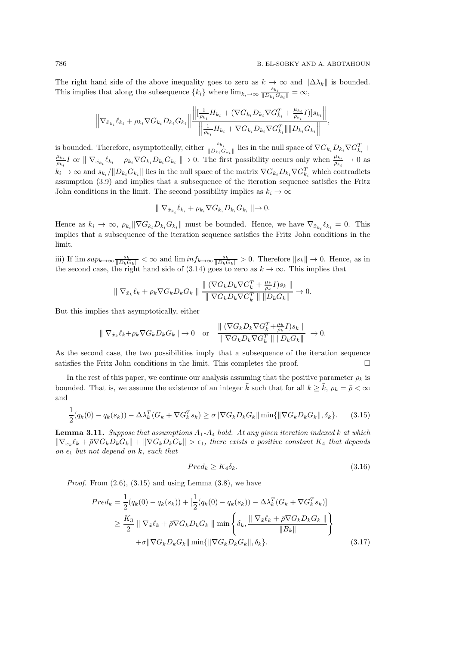The right hand side of the above inequality goes to zero as  $k \to \infty$  and  $\|\Delta\lambda_k\|$  is bounded. This implies that along the subsequence  $\{k_i\}$  where  $\lim_{k_i\to\infty} \frac{s_{k_i}}{\|D_k\|}$  $\frac{s_{k_i}}{\|D_{k_i}G_{k_i}\|}=\infty,$ 

$$
\left\| \nabla_{\tilde{x}_{k_i}} \ell_{k_i} + \rho_{k_i} \nabla G_{k_i} D_{k_i} G_{k_i} \right\| \frac{\left\| \left[ \frac{1}{\rho_{k_i}} H_{k_i} + (\nabla G_{k_i} D_{k_i} \nabla G_{k_i}^T + \frac{\mu_{k_i}}{\rho_{k_i}} I) \right] s_{k_i} \right\|}{\left\| \frac{1}{\rho_{k_i}} H_{k_i} + \nabla G_{k_i} D_{k_i} \nabla G_{k_i}^T \right\| \left\| D_{k_i} G_{k_i} \right\|},
$$

is bounded. Therefore, asymptotically, either  $\frac{s_{k_i}}{\|D_{k_i}G_{k_i}\|}$  lies in the null space of  $\nabla G_{k_i}D_{k_i}\nabla G_{k_i}^T +$  $\mu_{k_i}$  $\frac{\mu_{k_i}}{\rho_{k_i}} I$  or  $\| \nabla_{\tilde{x}_{k_i}} \ell_{k_i} + \rho_{k_i} \nabla G_{k_i} D_{k_i} G_{k_i} \| \to 0$ . The first possibility occurs only when  $\frac{\mu_{k_i}}{\rho_{k_i}} \to 0$  as  $k_i \to \infty$  and  $s_{k_i}/||D_{k_i}G_{k_i}||$  lies in the null space of the matrix  $\nabla G_{k_i}D_{k_i}\nabla G_{k_i}^T$  which contradicts assumption (3.9) and implies that a subsequence of the iteration sequence satisfies the Fritz John conditions in the limit. The second possibility implies as  $k_i \to \infty$ 

$$
\| \nabla_{\tilde{x}_{k_i}} \ell_{k_i} + \rho_{k_i} \nabla G_{k_i} D_{k_i} G_{k_i} \| \to 0.
$$

Hence as  $k_i \to \infty$ ,  $\rho_{k_i} \|\nabla G_{k_i} D_{k_i} G_{k_i}\|$  must be bounded. Hence, we have  $\nabla_{\tilde{x}_{k_i}} \ell_{k_i} = 0$ . This implies that a subsequence of the iteration sequence satisfies the Fritz John conditions in the limit.

iii) If  $\limsup_{k\to\infty} \frac{s_k}{\|D_k G_k\|} < \infty$  and  $\liminf_{k\to\infty} \frac{s_k}{\|D_k G_k\|} > 0$ . Therefore  $\|s_k\| \to 0$ . Hence, as in the second case, the right hand side of  $(3.14)$  goes to zero as  $k \to \infty$ . This implies that

$$
\| \nabla_{\tilde{x}_k} \ell_k + \rho_k \nabla G_k D_k G_k \| \frac{\| (\nabla G_k D_k \nabla G_k^T + \frac{\mu_k}{\rho_k} I) s_k \|}{\| \nabla G_k D_k \nabla G_k^T \| \| D_k G_k \|} \to 0.
$$

But this implies that asymptotically, either

$$
\parallel \nabla_{\tilde{x}_k} \ell_k + \rho_k \nabla G_k D_k G_k \parallel \to 0 \quad \text{or} \quad \frac{\parallel (\nabla G_k D_k \nabla G_k^T + \frac{\mu_k}{\rho_k} I) s_k \parallel}{\parallel \nabla G_k D_k \nabla G_k^T \parallel \parallel D_k G_k \parallel} \to 0.
$$

As the second case, the two possibilities imply that a subsequence of the iteration sequence satisfies the Fritz John conditions in the limit. This completes the proof.  $\Box$ 

In the rest of this paper, we continue our analysis assuming that the positive parameter  $\rho_k$  is bounded. That is, we assume the existence of an integer  $\bar{k}$  such that for all  $k \geq \bar{k}$ ,  $\rho_k = \bar{\rho} < \infty$ and

$$
\frac{1}{2}(q_k(0) - q_k(s_k)) - \Delta \lambda_k^T (G_k + \nabla G_k^T s_k) \ge \sigma \|\nabla G_k D_k G_k\| \min\{\|\nabla G_k D_k G_k\|, \delta_k\}.
$$
 (3.15)

Lemma 3.11. *Suppose that assumptions* A1*-*A<sup>4</sup> *hold. At any given iteration indexed* k *at which*  $\|\nabla_{\tilde{x}_k}\ell_k + \bar{\rho} \nabla G_k D_k G_k\| + \|\nabla G_k D_k G_k\| > \epsilon_1$ , there exists a positive constant  $K_4$  that depends *on*  $\epsilon_1$  *but not depend on k, such that* 

$$
Pred_k \ge K_4 \delta_k. \tag{3.16}
$$

*Proof.* From  $(2.6)$ ,  $(3.15)$  and using Lemma  $(3.8)$ , we have

$$
Pred_k = \frac{1}{2}(q_k(0) - q_k(s_k)) + [\frac{1}{2}(q_k(0) - q_k(s_k)) - \Delta \lambda_k^T (G_k + \nabla G_k^T s_k)]
$$
  
\n
$$
\geq \frac{K_3}{2} || \nabla_{\tilde{x}} \ell_k + \bar{\rho} \nabla G_k D_k G_k || \min \left\{ \delta_k, \frac{|| \nabla_{\tilde{x}} \ell_k + \bar{\rho} \nabla G_k D_k G_k ||}{||B_k||} \right\}
$$
  
\n
$$
+ \sigma || \nabla G_k D_k G_k || \min \{ || \nabla G_k D_k G_k ||, \delta_k \}. \tag{3.17}
$$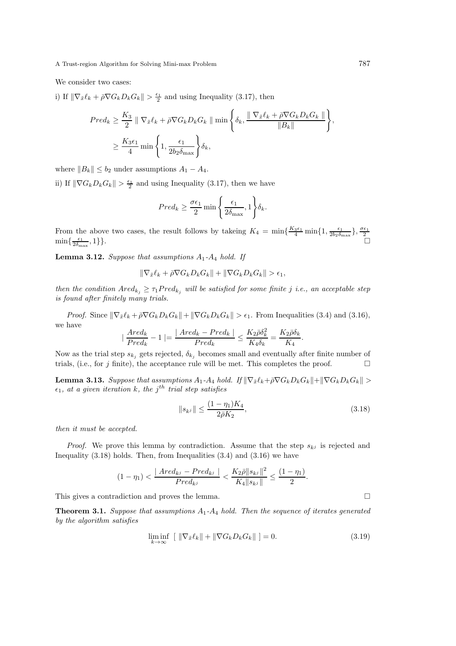We consider two cases:

i) If  $\|\nabla_{\tilde{x}}\ell_k + \bar{\rho}\nabla G_kD_kG_k\| > \frac{\epsilon_1}{2}$  and using Inequality (3.17), then

$$
Pred_k \geq \frac{K_3}{2} \parallel \nabla_{\tilde{x}} \ell_k + \bar{\rho} \nabla G_k D_k G_k \parallel \min\left\{ \delta_k, \frac{\parallel \nabla_{\tilde{x}} \ell_k + \bar{\rho} \nabla G_k D_k G_k \parallel}{\parallel B_k \parallel} \right\},
$$
  

$$
\geq \frac{K_3 \epsilon_1}{4} \min\left\{ 1, \frac{\epsilon_1}{2b_2 \delta_{\max}} \right\} \delta_k,
$$

where  $||B_k|| \le b_2$  under assumptions  $A_1 - A_4$ .

ii) If  $\|\nabla G_k D_k G_k\| > \frac{\epsilon_1}{2}$  and using Inequality (3.17), then we have

$$
Pred_k \ge \frac{\sigma \epsilon_1}{2} \min \left\{ \frac{\epsilon_1}{2\delta_{\max}}, 1 \right\} \delta_k.
$$

From the above two cases, the result follows by takeing  $K_4 = \min\{\frac{K_3\epsilon_1}{4}\min\{1, \frac{\epsilon_1}{2b_2\delta_{\max}}\}, \frac{\sigma\epsilon_1}{2}\}\$ .  $\min\{\frac{\epsilon_1}{2\delta_{\max}}$ 

Lemma 3.12. *Suppose that assumptions* A1*-*A<sup>4</sup> *hold. If*

$$
\|\nabla_{\tilde{x}}\ell_k + \bar{\rho}\nabla G_k D_k G_k\| + \|\nabla G_k D_k G_k\| > \epsilon_1,
$$

*then the condition*  $Ared_{k_j} \geq \tau_1 Pred_{k_j}$  *will be satisfied for some finite j i.e., an acceptable step is found after finitely many trials.*

*Proof.* Since  $\|\nabla_{\tilde{x}}\ell_k + \bar{\rho}\nabla G_kD_kG_k\| + \|\nabla G_kD_kG_k\| > \epsilon_1$ . From Inequalities (3.4) and (3.16), we have

$$
\mid \frac{Ared_k}{Pred_k} - 1 \mid = \frac{\mid Ared_k - Pred_k \mid}{Pred_k} \leq \frac{K_2 \bar{\rho} \delta_k^2}{K_4 \delta_k} = \frac{K_2 \bar{\rho} \delta_k}{K_4}.
$$

Now as the trial step  $s_{k_j}$  gets rejected,  $\delta_{k_j}$  becomes small and eventually after finite number of trials, (i.e., for j finite), the acceptance rule will be met. This completes the proof.  $\Box$ 

**Lemma 3.13.** Suppose that assumptions  $A_1$ - $A_4$  hold. If  $\|\nabla_{\tilde{x}} \ell_k + \bar{\rho} \nabla G_k D_k G_k\| + \|\nabla G_k D_k G_k\| >$  $\epsilon_1$ *, at a given iteration* k*, the* j<sup>th</sup> trial step satisfies

$$
||s_{k^j}|| \le \frac{(1 - \eta_1)K_4}{2\bar{\rho}K_2},\tag{3.18}
$$

*then it must be accepted.*

*Proof.* We prove this lemma by contradiction. Assume that the step  $s_{kj}$  is rejected and Inequality  $(3.18)$  holds. Then, from Inequalities  $(3.4)$  and  $(3.16)$  we have

$$
(1 - \eta_1) < \frac{|Ared_{k^j} - Pred_{k^j}|}{Pred_{k^j}} < \frac{K_2\bar{\rho}||s_{k^j}||^2}{K_4||s_{k^j}||} \le \frac{(1 - \eta_1)}{2}.
$$

This gives a contradiction and proves the lemma.

Theorem 3.1. *Suppose that assumptions* A1*-*A<sup>4</sup> *hold. Then the sequence of iterates generated by the algorithm satisfies*

$$
\liminf_{k \to \infty} \left[ \| \nabla_{\tilde{x}} \ell_k \| + \| \nabla G_k D_k G_k \| \right] = 0. \tag{3.19}
$$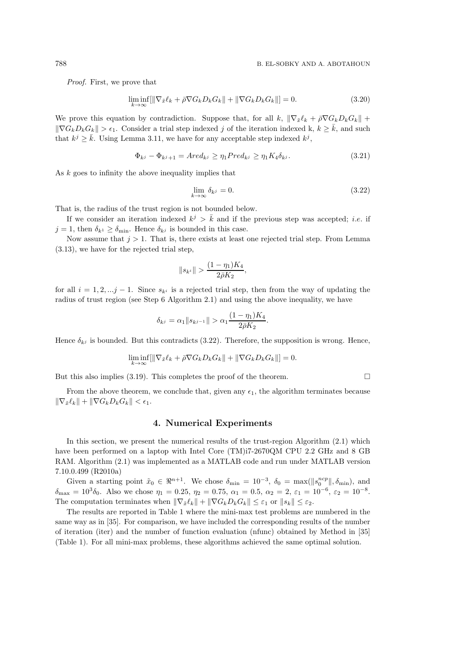*Proof.* First, we prove that

$$
\liminf_{k \to \infty} [\|\nabla_{\tilde{x}} \ell_k + \bar{\rho} \nabla G_k D_k G_k\| + \|\nabla G_k D_k G_k\|] = 0. \tag{3.20}
$$

We prove this equation by contradiction. Suppose that, for all k,  $\|\nabla_{\tilde{x}}\ell_k + \bar{\rho}\nabla G_kD_kG_k\|$  +  $\|\nabla G_k D_k G_k\| > \epsilon_1$ . Consider a trial step indexed j of the iteration indexed k,  $k \geq \overline{k}$ , and such that  $k^j \geq \bar{k}$ . Using Lemma 3.11, we have for any acceptable step indexed  $k^j$ ,

$$
\Phi_{kj} - \Phi_{kj+1} = Ared_{kj} \ge \eta_1 Pred_{kj} \ge \eta_1 K_4 \delta_{kj}.
$$
\n(3.21)

As  $k$  goes to infinity the above inequality implies that

$$
\lim_{k \to \infty} \delta_{kj} = 0. \tag{3.22}
$$

That is, the radius of the trust region is not bounded below.

If we consider an iteration indexed  $k^j > \bar{k}$  and if the previous step was accepted; *i.e.* if  $j = 1$ , then  $\delta_{k} \geq \delta_{\min}$ . Hence  $\delta_{k}$  is bounded in this case.

Now assume that  $j > 1$ . That is, there exists at least one rejected trial step. From Lemma (3.13), we have for the rejected trial step,

$$
\|s_{k^i}\| > \frac{(1-\eta_1)K_4}{2\bar{\rho}K_2},
$$

for all  $i = 1, 2, \ldots, j - 1$ . Since  $s_{k_i}$  is a rejected trial step, then from the way of updating the radius of trust region (see Step 6 Algorithm 2.1) and using the above inequality, we have

$$
\delta_{k^j} = \alpha_1 \|s_{k^{j-1}}\| > \alpha_1 \frac{(1 - \eta_1)K_4}{2\bar{\rho}K_2}.
$$

Hence  $\delta_{kj}$  is bounded. But this contradicts (3.22). Therefore, the supposition is wrong. Hence,

$$
\liminf_{k \to \infty} [\|\nabla_{\tilde{x}} \ell_k + \bar{\rho} \nabla G_k D_k G_k\| + \|\nabla G_k D_k G_k\|] = 0.
$$

But this also implies (3.19). This completes the proof of the theorem.  $\Box$ 

From the above theorem, we conclude that, given any  $\epsilon_1$ , the algorithm terminates because  $\|\nabla_{\tilde{x}}\ell_k\| + \|\nabla G_kD_kG_k\| < \epsilon_1.$ 

### 4. Numerical Experiments

In this section, we present the numerical results of the trust-region Algorithm (2.1) which have been performed on a laptop with Intel Core (TM)i7-2670QM CPU 2.2 GHz and 8 GB RAM. Algorithm (2.1) was implemented as a MATLAB code and run under MATLAB version 7.10.0.499 (R2010a)

Given a starting point  $\tilde{x}_0 \in \mathbb{R}^{n+1}$ . We chose  $\delta_{\min} = 10^{-3}$ ,  $\delta_0 = \max(||s_0^{ncp}||, \delta_{\min})$ , and  $\delta_{\text{max}} = 10^3 \delta_0$ . Also we chose  $\eta_1 = 0.25$ ,  $\eta_2 = 0.75$ ,  $\alpha_1 = 0.5$ ,  $\alpha_2 = 2$ ,  $\varepsilon_1 = 10^{-6}$ ,  $\varepsilon_2 = 10^{-8}$ . The computation terminates when  $\|\nabla_{\tilde{x}}\ell_k\| + \|\nabla G_kD_kG_k\| \leq \varepsilon_1$  or  $\|s_k\| \leq \varepsilon_2$ .

The results are reported in Table 1 where the mini-max test problems are numbered in the same way as in [35]. For comparison, we have included the corresponding results of the number of iteration (iter) and the number of function evaluation (nfunc) obtained by Method in [35] (Table 1). For all mini-max problems, these algorithms achieved the same optimal solution.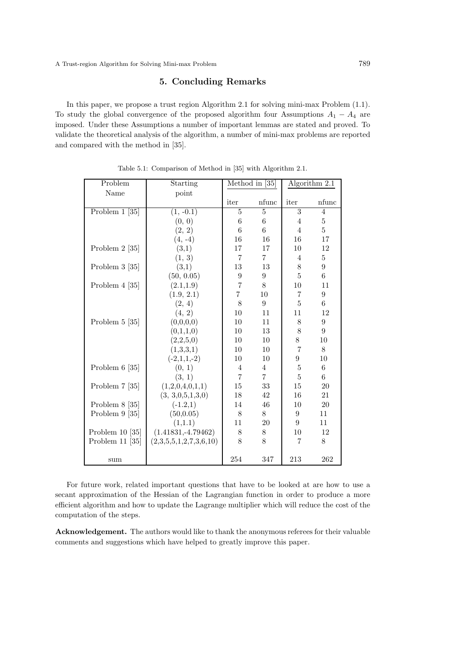# 5. Concluding Remarks

In this paper, we propose a trust region Algorithm 2.1 for solving mini-max Problem (1.1). To study the global convergence of the proposed algorithm four Assumptions  $A_1 - A_4$  are imposed. Under these Assumptions a number of important lemmas are stated and proved. To validate the theoretical analysis of the algorithm, a number of mini-max problems are reported and compared with the method in [35].

| Problem                         | Starting               | Method in [35]   |                 | Algorithm 2.1  |                |
|---------------------------------|------------------------|------------------|-----------------|----------------|----------------|
| Name                            | point                  |                  |                 |                |                |
|                                 |                        | iter             | nfunc           | iter           | nfunc          |
| $\boxed{\text{Problem 1}}$ [35] | $(1, -0.\overline{1})$ | 5                | $\overline{5}$  | 3              | $\overline{4}$ |
|                                 | (0, 0)                 | 6                | $\,6$           | $\overline{4}$ | $\bf 5$        |
|                                 | (2, 2)                 | $\overline{6}$   | $6\phantom{.}6$ | $\overline{4}$ | $\overline{5}$ |
|                                 | $(4, -4)$              | 16               | 16              | 16             | 17             |
| Problem $2 \; [35]$             | (3,1)                  | 17               | 17              | 10             | 12             |
|                                 | (1, 3)                 | 7                | $\overline{7}$  | 4              | $\overline{5}$ |
| Problem $3$ [35]                | (3,1)                  | 13               | 13              | $8\,$          | 9              |
|                                 | (50, 0.05)             | $\boldsymbol{9}$ | 9               | $\bf 5$        | 6              |
| Problem 4 [35]                  | (2.1, 1.9)             | $\overline{7}$   | 8               | 10             | 11             |
|                                 | (1.9, 2.1)             | $\overline{7}$   | 10              | $\overline{7}$ | 9              |
|                                 | (2, 4)                 | 8                | 9               | $\overline{5}$ | 6              |
|                                 | (4, 2)                 | 10               | 11              | 11             | 12             |
| Problem $5 \; [35]$             | (0,0,0,0)              | 10               | 11              | 8              | 9              |
|                                 | (0,1,1,0)              | 10               | 13              | $8\,$          | 9              |
|                                 | (2,2,5,0)              | 10               | 10              | 8              | 10             |
|                                 | (1,3,3,1)              | 10               | 10              | $\overline{7}$ | $8\,$          |
|                                 | $(-2,1,1,-2)$          | 10               | 10              | 9              | 10             |
| Problem $6 \; [35]$             | (0, 1)                 | 4                | $\overline{4}$  | $\overline{5}$ | 6              |
|                                 | (3, 1)                 | $\overline{7}$   | $\overline{7}$  | $\overline{5}$ | 6              |
| Problem $7 \; [35]$             | (1,2,0,4,0,1,1)        | 15               | 33              | 15             | 20             |
|                                 | (3, 3, 0, 5, 1, 3, 0)  | 18               | 42              | 16             | 21             |
| Problem $8$ [35]                | $(-1.2,1)$             | 14               | 46              | 10             | 20             |
| Problem $9$ [35]                | (50, 0.05)             | 8                | 8               | 9              | 11             |
|                                 | (1,1.1)                | 11               | 20              | 9              | 11             |
| Problem $10$ [35]               | $(1.41831,-4.79462)$   | 8                | 8               | 10             | 12             |
| Problem $11$ [35]               | (2,3,5,5,1,2,7,3,6,10) | 8                | 8               | 7              | 8              |
|                                 |                        |                  |                 |                |                |
| sum                             |                        | 254              | 347             | 213            | 262            |

Table 5.1: Comparison of Method in [35] with Algorithm 2.1.

For future work, related important questions that have to be looked at are how to use a secant approximation of the Hessian of the Lagrangian function in order to produce a more efficient algorithm and how to update the Lagrange multiplier which will reduce the cost of the computation of the steps.

Acknowledgement. The authors would like to thank the anonymous referees for their valuable comments and suggestions which have helped to greatly improve this paper.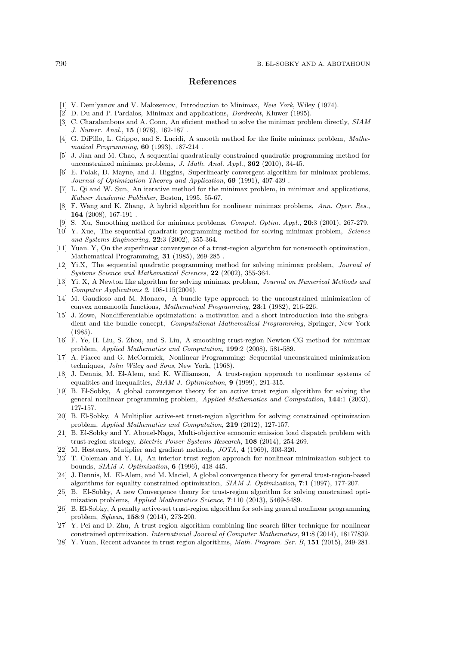## References

- [1] V. Dem'yanov and V. Malozemov, Introduction to Minimax, *New York*, Wiley (1974).
- [2] D. Du and P. Pardalos, Minimax and applications, *Dordrecht*, Kluwer (1995).
- [3] C. Charalambous and A. Conn, An eficient method to solve the minimax problem directly, *SIAM J. Numer. Anal.*, 15 (1978), 162-187 .
- [4] G. DiPillo, L. Grippo, and S. Lucidi, A smooth method for the finite minimax problem, *Mathematical Programming*, 60 (1993), 187-214 .
- [5] J. Jian and M. Chao, A sequential quadratically constrained quadratic programming method for unconstrained minimax problems, *J. Math. Anal. Appl.*, 362 (2010), 34-45.
- [6] E. Polak, D. Mayne, and J. Higgins, Superlinearly convergent algorithm for minimax problems, *Journal of Optimization Theorey and Application*, 69 (1991), 407-439 .
- [7] L. Qi and W. Sun, An iterative method for the minimax problem, in minimax and applications, *Kulwer Academic Publisher*, Boston, 1995, 55-67.
- [8] F. Wang and K. Zhang, A hybrid algorithm for nonlinear minimax problems, *Ann. Oper. Res.*, 164 (2008), 167-191 .
- [9] S. Xu, Smoothing method for minimax problems, *Comput. Optim. Appl.*, 20:3 (2001), 267-279.
- [10] Y. Xue, The sequential quadratic programming method for solving minimax problem, *Science and Systems Engineering*, 22:3 (2002), 355-364.
- [11] Yuan. Y, On the superlinear convergence of a trust-region algorithm for nonsmooth optimization, Mathematical Programming, 31 (1985), 269-285 .
- [12] Yi.X, The sequential quadratic programming method for solving minimax problem, *Journal of Systems Science and Mathematical Sciences*, 22 (2002), 355-364.
- [13] Yi. X, A Newton like algorithm for solving minimax problem, *Journal on Numerical Methods and Computer Applications 2*, 108-115(2004).
- [14] M. Gaudioso and M. Monaco, A bundle type approach to the unconstrained minimization of convex nonsmooth functions, *Mathematical Programming*, 23:1 (1982), 216-226.
- [15] J. Zowe, Nondifferentiable optimziation: a motivation and a short introduction into the subgradient and the bundle concept, *Computational Mathematical Programming*, Springer, New York (1985).
- [16] F. Ye, H. Liu, S. Zhou, and S. Liu, A smoothing trust-region Newton-CG method for minimax problem, *Applied Mathematics and Computation*, 199:2 (2008), 581-589.
- [17] A. Fiacco and G. McCormick, Nonlinear Programming: Sequential unconstrained minimization techniques, *John Wiley and Sons*, New York, (1968).
- [18] J. Dennis, M. El-Alem, and K. Williamson, A trust-region approach to nonlinear systems of equalities and inequalities, *SIAM J. Optimization*, 9 (1999), 291-315.
- [19] B. El-Sobky, A global convergence theory for an active trust region algorithm for solving the general nonlinear programming problem, *Applied Mathematics and Computation*, 144:1 (2003), 127-157.
- [20] B. El-Sobky, A Multiplier active-set trust-region algorithm for solving constrained optimization problem, *Applied Mathematics and Computation*, 219 (2012), 127-157.
- [21] B. El-Sobky and Y. Abouel-Naga, Multi-objective economic emission load dispatch problem with trust-region strategy, *Electric Power Systems Research*, 108 (2014), 254-269.
- [22] M. Hestenes, Mutiplier and gradient methods, *JOTA*, 4 (1969), 303-320.
- [23] T. Coleman and Y. Li, An interior trust region approach for nonlinear minimization subject to bounds, *SIAM J. Optimization*, 6 (1996), 418-445.
- [24] J. Dennis, M. El-Alem, and M. Maciel, A global convergence theory for general trust-region-based algorithms for equality constrained optimization, *SIAM J. Optimization*, 7:1 (1997), 177-207.
- [25] B. El-Sobky, A new Convergence theory for trust-region algorithm for solving constrained optimization problems, *Applied Mathematics Science*, 7:110 (2013), 5469-5489.
- [26] B. El-Sobky, A penalty active-set trust-region algorithm for solving general nonlinear programming problem, *Sylwan*, 158:9 (2014), 273-290.
- [27] Y. Pei and D. Zhu, A trust-region algorithm combining line search filter technique for nonlinear constrained optimization. *International Journal of Computer Mathematics*, 91:8 (2014), 1817?839.
- [28] Y. Yuan, Recent advances in trust region algorithms, *Math. Program. Ser. B*, 151 (2015), 249-281.